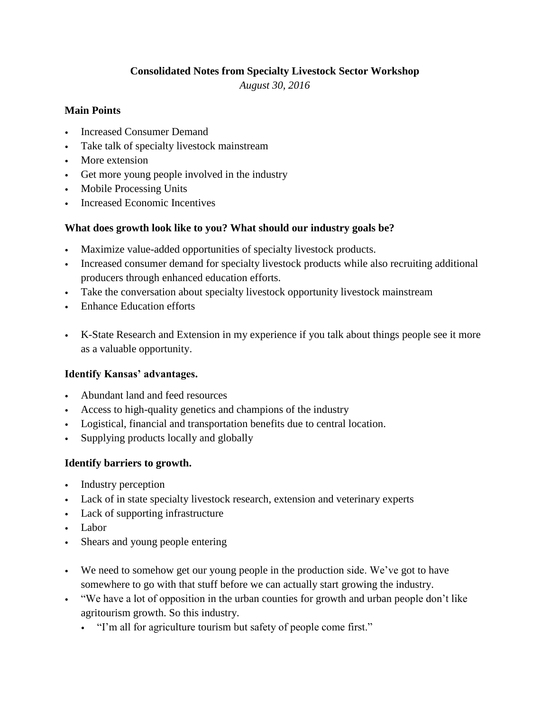# **Consolidated Notes from Specialty Livestock Sector Workshop**

*August 30, 2016*

## **Main Points**

- Increased Consumer Demand
- Take talk of specialty livestock mainstream
- More extension
- Get more young people involved in the industry
- Mobile Processing Units
- Increased Economic Incentives

## **What does growth look like to you? What should our industry goals be?**

- Maximize value-added opportunities of specialty livestock products.
- Increased consumer demand for specialty livestock products while also recruiting additional producers through enhanced education efforts.
- Take the conversation about specialty livestock opportunity livestock mainstream
- Enhance Education efforts
- K-State Research and Extension in my experience if you talk about things people see it more as a valuable opportunity.

## **Identify Kansas' advantages.**

- Abundant land and feed resources
- Access to high-quality genetics and champions of the industry
- Logistical, financial and transportation benefits due to central location.
- Supplying products locally and globally

## **Identify barriers to growth.**

- Industry perception
- Lack of in state specialty livestock research, extension and veterinary experts
- Lack of supporting infrastructure
- Labor
- Shears and young people entering
- We need to somehow get our young people in the production side. We've got to have somewhere to go with that stuff before we can actually start growing the industry.
- "We have a lot of opposition in the urban counties for growth and urban people don't like agritourism growth. So this industry.
	- "I'm all for agriculture tourism but safety of people come first."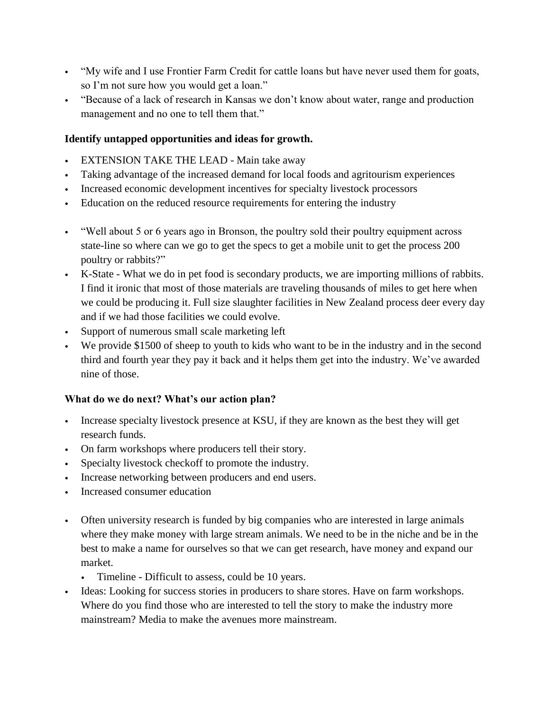- "My wife and I use Frontier Farm Credit for cattle loans but have never used them for goats, so I'm not sure how you would get a loan."
- "Because of a lack of research in Kansas we don't know about water, range and production management and no one to tell them that."

# **Identify untapped opportunities and ideas for growth.**

- EXTENSION TAKE THE LEAD Main take away
- Taking advantage of the increased demand for local foods and agritourism experiences
- Increased economic development incentives for specialty livestock processors
- Education on the reduced resource requirements for entering the industry
- "Well about 5 or 6 years ago in Bronson, the poultry sold their poultry equipment across state-line so where can we go to get the specs to get a mobile unit to get the process 200 poultry or rabbits?"
- K-State What we do in pet food is secondary products, we are importing millions of rabbits. I find it ironic that most of those materials are traveling thousands of miles to get here when we could be producing it. Full size slaughter facilities in New Zealand process deer every day and if we had those facilities we could evolve.
- Support of numerous small scale marketing left
- We provide \$1500 of sheep to youth to kids who want to be in the industry and in the second third and fourth year they pay it back and it helps them get into the industry. We've awarded nine of those.

## **What do we do next? What's our action plan?**

- Increase specialty livestock presence at KSU, if they are known as the best they will get research funds.
- On farm workshops where producers tell their story.
- Specialty livestock checkoff to promote the industry.
- Increase networking between producers and end users.
- Increased consumer education
- Often university research is funded by big companies who are interested in large animals where they make money with large stream animals. We need to be in the niche and be in the best to make a name for ourselves so that we can get research, have money and expand our market.
	- Timeline Difficult to assess, could be 10 years.
- Ideas: Looking for success stories in producers to share stores. Have on farm workshops. Where do you find those who are interested to tell the story to make the industry more mainstream? Media to make the avenues more mainstream.